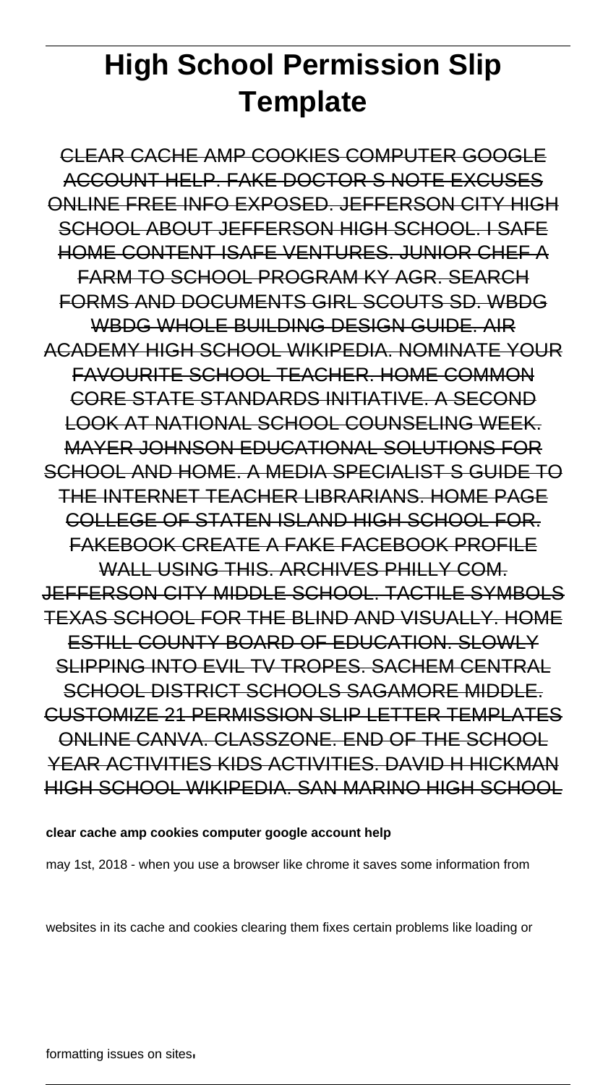# **High School Permission Slip Template**

CLEAR CACHE AMP COOKIES COMPUTER GOOGLE ACCOUNT HELP. FAKE DOCTOR S NOTE EXCUSES ONLINE FREE INFO EXPOSED. JEFFERSON CITY HIGH SCHOOL ABOUT JEFFERSON HIGH SCHOOL. I SAFE HOME CONTENT ISAFE VENTURES. JUNIOR CHEF A FARM TO SCHOOL PROGRAM KY AGR. SEARCH FORMS AND DOCUMENTS GIRL SCOUTS SD. WBDG WBDG WHOLE BUILDING DESIGN GUIDE. AIR ACADEMY HIGH SCHOOL WIKIPEDIA. NOMINATE YOUR FAVOURITE SCHOOL TEACHER. HOME COMMON CORE STATE STANDARDS INITIATIVE. A SECOND LOOK AT NATIONAL SCHOOL COUNSELING WEEK. MAYER JOHNSON EDUCATIONAL SOLUTIONS FOR SCHOOL AND HOME. A MEDIA SPECIALIST S GUIDE TO THE INTERNET TEACHER LIBRARIANS. HOME PAGE COLLEGE OF STATEN ISLAND HIGH SCHOOL FOR. FAKEBOOK CREATE A FAKE FACEBOOK PROFILE WALL USING THIS. ARCHIVES PHILLY COM. JEFFERSON CITY MIDDLE SCHOOL. TACTILE SYMBOLS TEXAS SCHOOL FOR THE BLIND AND VISUALLY. HOME ESTILL COUNTY BOARD OF EDUCATION. SLOWLY SLIPPING INTO EVIL TV TROPES. SACHEM CENTRAL SCHOOL DISTRICT SCHOOLS SAGAMORE MIDDLE. CUSTOMIZE 21 PERMISSION SLIP LETTER TEMPLATES ONLINE CANVA. CLASSZONE. END OF THE SCHOOL YEAR ACTIVITIES KIDS ACTIVITIES. DAVID H HICKMAN HIGH SCHOOL WIKIPEDIA. SAN MARINO HIGH SCHOOL

#### **clear cache amp cookies computer google account help**

may 1st, 2018 - when you use a browser like chrome it saves some information from

websites in its cache and cookies clearing them fixes certain problems like loading or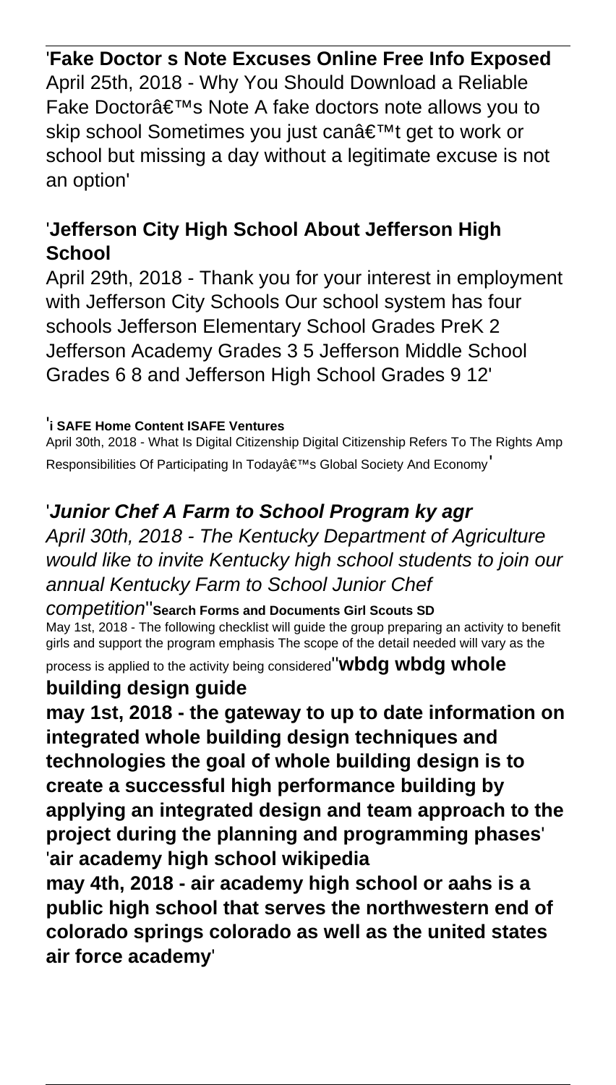### '**Fake Doctor s Note Excuses Online Free Info Exposed**

April 25th, 2018 - Why You Should Download a Reliable Fake Doctor's Note A fake doctors note allows you to skip school Sometimes you just can't get to work or school but missing a day without a legitimate excuse is not an option'

# '**Jefferson City High School About Jefferson High School**

April 29th, 2018 - Thank you for your interest in employment with Jefferson City Schools Our school system has four schools Jefferson Elementary School Grades PreK 2 Jefferson Academy Grades 3 5 Jefferson Middle School Grades 6 8 and Jefferson High School Grades 9 12'

#### '**i SAFE Home Content ISAFE Ventures**

April 30th, 2018 - What Is Digital Citizenship Digital Citizenship Refers To The Rights Amp Responsibilities Of Participating In Today's Global Society And Economy

# '**Junior Chef A Farm to School Program ky agr**

April 30th, 2018 - The Kentucky Department of Agriculture would like to invite Kentucky high school students to join our annual Kentucky Farm to School Junior Chef

#### competition''**Search Forms and Documents Girl Scouts SD**

May 1st, 2018 - The following checklist will guide the group preparing an activity to benefit girls and support the program emphasis The scope of the detail needed will vary as the

process is applied to the activity being considered''**wbdg wbdg whole**

### **building design guide**

**may 1st, 2018 - the gateway to up to date information on integrated whole building design techniques and technologies the goal of whole building design is to create a successful high performance building by applying an integrated design and team approach to the project during the planning and programming phases**' '**air academy high school wikipedia**

**may 4th, 2018 - air academy high school or aahs is a public high school that serves the northwestern end of colorado springs colorado as well as the united states air force academy**'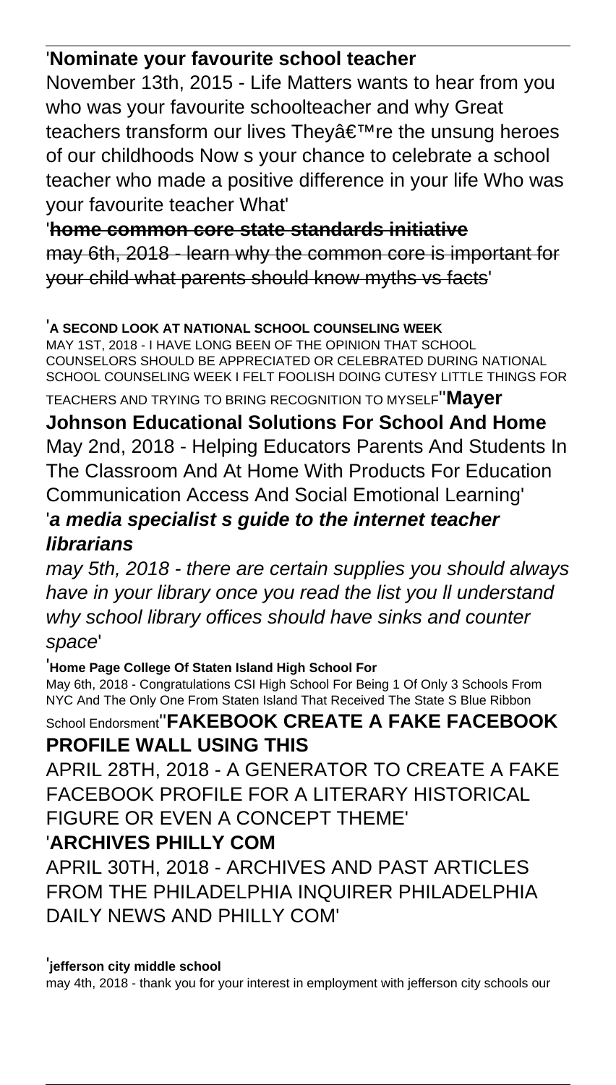# '**Nominate your favourite school teacher**

November 13th, 2015 - Life Matters wants to hear from you who was your favourite schoolteacher and why Great teachers transform our lives They're the unsung heroes of our childhoods Now s your chance to celebrate a school teacher who made a positive difference in your life Who was your favourite teacher What'

'**home common core state standards initiative** may 6th, 2018 - learn why the common core is important for your child what parents should know myths vs facts'

#### '**A SECOND LOOK AT NATIONAL SCHOOL COUNSELING WEEK**

MAY 1ST, 2018 - I HAVE LONG BEEN OF THE OPINION THAT SCHOOL COUNSELORS SHOULD BE APPRECIATED OR CELEBRATED DURING NATIONAL SCHOOL COUNSELING WEEK I FELT FOOLISH DOING CUTESY LITTLE THINGS FOR

TEACHERS AND TRYING TO BRING RECOGNITION TO MYSELF''**Mayer**

**Johnson Educational Solutions For School And Home** May 2nd, 2018 - Helping Educators Parents And Students In The Classroom And At Home With Products For Education Communication Access And Social Emotional Learning' '**a media specialist s guide to the internet teacher librarians**

may 5th, 2018 - there are certain supplies you should always have in your library once you read the list you ll understand why school library offices should have sinks and counter space'

'**Home Page College Of Staten Island High School For**

May 6th, 2018 - Congratulations CSI High School For Being 1 Of Only 3 Schools From NYC And The Only One From Staten Island That Received The State S Blue Ribbon

### School Endorsment''**FAKEBOOK CREATE A FAKE FACEBOOK PROFILE WALL USING THIS**

APRIL 28TH, 2018 - A GENERATOR TO CREATE A FAKE FACEBOOK PROFILE FOR A LITERARY HISTORICAL FIGURE OR EVEN A CONCEPT THEME'

# '**ARCHIVES PHILLY COM**

APRIL 30TH, 2018 - ARCHIVES AND PAST ARTICLES FROM THE PHILADELPHIA INQUIRER PHILADELPHIA DAILY NEWS AND PHILLY COM'

#### '**jefferson city middle school**

may 4th, 2018 - thank you for your interest in employment with jefferson city schools our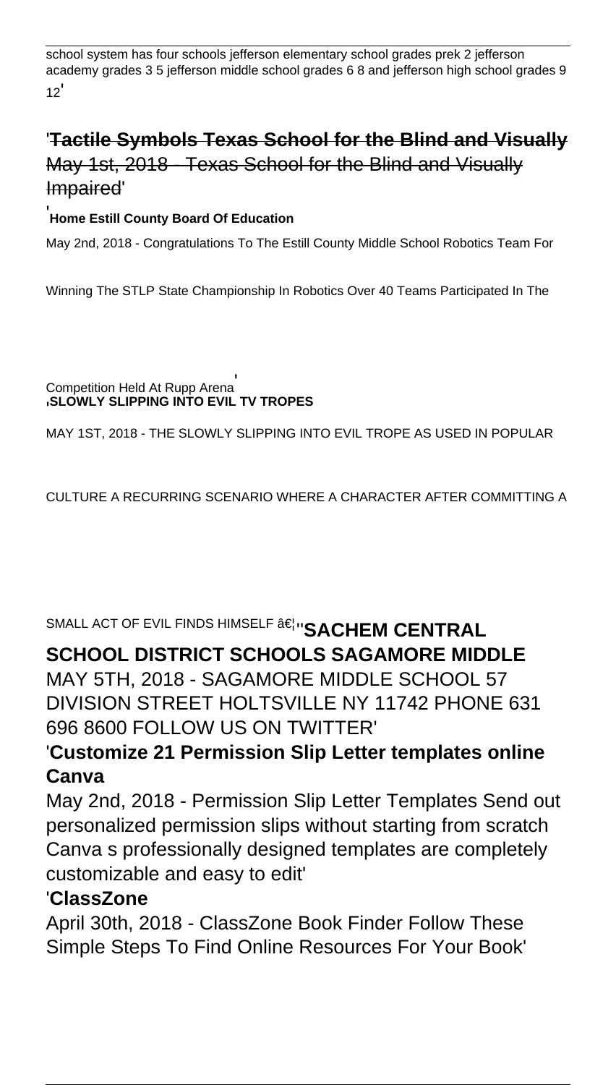school system has four schools jefferson elementary school grades prek 2 jefferson academy grades 3 5 jefferson middle school grades 6 8 and jefferson high school grades 9  $12'$ 

# '**Tactile Symbols Texas School for the Blind and Visually** May 1st, 2018 - Texas School for the Blind and Visually Impaired'

### '**Home Estill County Board Of Education**

May 2nd, 2018 - Congratulations To The Estill County Middle School Robotics Team For

Winning The STLP State Championship In Robotics Over 40 Teams Participated In The

Competition Held At Rupp Arena' '**SLOWLY SLIPPING INTO EVIL TV TROPES**

MAY 1ST, 2018 - THE SLOWLY SLIPPING INTO EVIL TROPE AS USED IN POPULAR

CULTURE A RECURRING SCENARIO WHERE A CHARACTER AFTER COMMITTING A

SMALL ACT OF EVIL FINDS HIMSELF  $\hat{a} \in \mathbb{N}$  **SACHEM CENTRAL** 

# **SCHOOL DISTRICT SCHOOLS SAGAMORE MIDDLE**

MAY 5TH, 2018 - SAGAMORE MIDDLE SCHOOL 57 DIVISION STREET HOLTSVILLE NY 11742 PHONE 631 696 8600 FOLLOW US ON TWITTER'

### '**Customize 21 Permission Slip Letter templates online Canva**

May 2nd, 2018 - Permission Slip Letter Templates Send out personalized permission slips without starting from scratch Canva s professionally designed templates are completely customizable and easy to edit'

### '**ClassZone**

April 30th, 2018 - ClassZone Book Finder Follow These Simple Steps To Find Online Resources For Your Book'